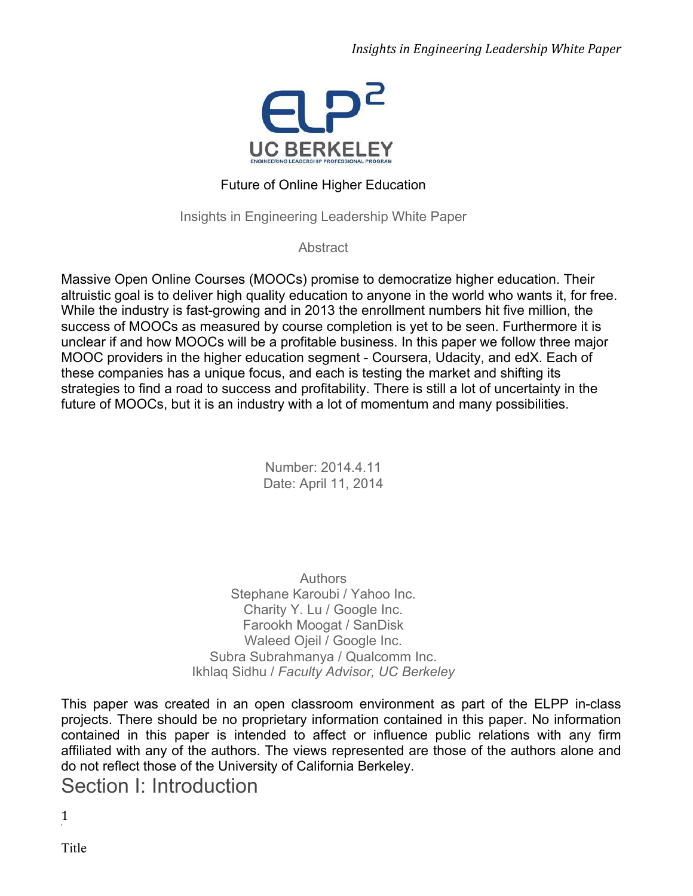

### Future of Online Higher Education

Insights in Engineering Leadership White Paper

**Abstract** 

Massive Open Online Courses (MOOCs) promise to democratize higher education. Their altruistic goal is to deliver high quality education to anyone in the world who wants it, for free. While the industry is fast-growing and in 2013 the enrollment numbers hit five million, the success of MOOCs as measured by course completion is yet to be seen. Furthermore it is unclear if and how MOOCs will be a profitable business. In this paper we follow three major MOOC providers in the higher education segment - Coursera, Udacity, and edX. Each of these companies has a unique focus, and each is testing the market and shifting its strategies to find a road to success and profitability. There is still a lot of uncertainty in the future of MOOCs, but it is an industry with a lot of momentum and many possibilities.

> Number: 2014.4.11 Date: April 11, 2014

**Authors** Stephane Karoubi / Yahoo Inc. Charity Y. Lu / Google Inc. Farookh Moogat / SanDisk Waleed Ojeil / Google Inc. Subra Subrahmanya / Qualcomm Inc. Ikhlaq Sidhu / *Faculty Advisor, UC Berkeley*

This paper was created in an open classroom environment as part of the ELPP in-class projects. There should be no proprietary information contained in this paper. No information contained in this paper is intended to affect or influence public relations with any firm affiliated with any of the authors. The views represented are those of the authors alone and do not reflect those of the University of California Berkeley.

Section I: Introduction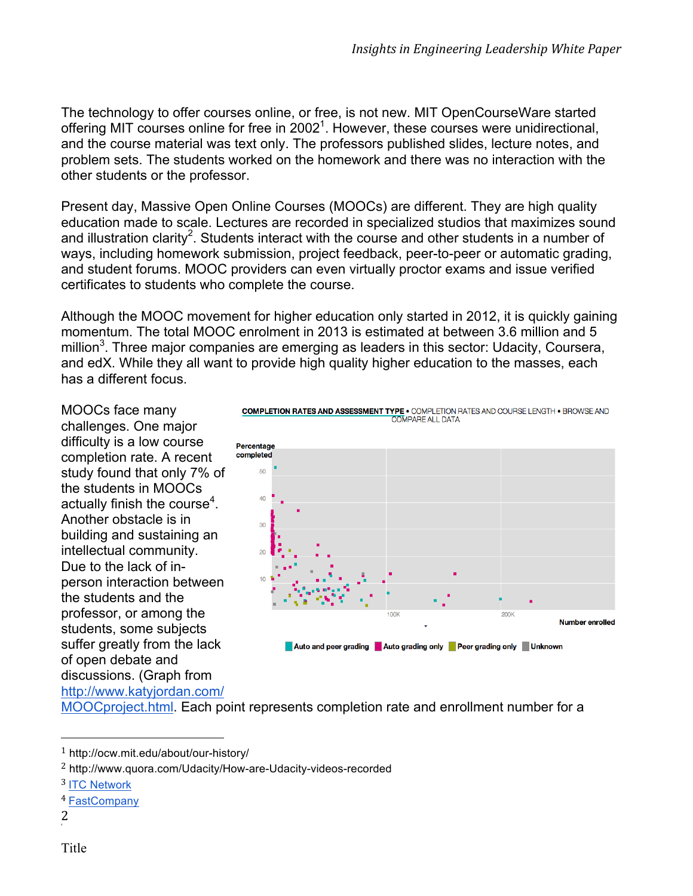The technology to offer courses online, or free, is not new. MIT OpenCourseWare started offering MIT courses online for free in 2002<sup>1</sup>. However, these courses were unidirectional, and the course material was text only. The professors published slides, lecture notes, and problem sets. The students worked on the homework and there was no interaction with the other students or the professor.

Present day, Massive Open Online Courses (MOOCs) are different. They are high quality education made to scale. Lectures are recorded in specialized studios that maximizes sound and illustration clarity<sup>2</sup>. Students interact with the course and other students in a number of ways, including homework submission, project feedback, peer-to-peer or automatic grading, and student forums. MOOC providers can even virtually proctor exams and issue verified certificates to students who complete the course.

Although the MOOC movement for higher education only started in 2012, it is quickly gaining momentum. The total MOOC enrolment in 2013 is estimated at between 3.6 million and 5 million<sup>3</sup>. Three major companies are emerging as leaders in this sector: Udacity, Coursera, and edX. While they all want to provide high quality higher education to the masses, each has a different focus.

MOOCs face many challenges. One major difficulty is a low course completion rate. A recent study found that only 7% of the students in MOOCs actually finish the course<sup>4</sup>. Another obstacle is in building and sustaining an intellectual community. Due to the lack of inperson interaction between the students and the professor, or among the students, some subjects suffer greatly from the lack of open debate and discussions. (Graph from http://www.katyjordan.com/



**COMPLETION RATES AND ASSESSMENT TYPE . COMPLETION RATES AND COURSE LENGTH . BROWSE AND COMPARE ALL DATA** 

Auto and peer grading Auto grading only Peer grading only Unknown

MOOCproject.html. Each point represents completion rate and enrollment number for a

 

<sup>1</sup> http://ocw.mit.edu/about/our-history/

<sup>&</sup>lt;sup>2</sup> http://www.quora.com/Udacity/How-are-Udacity-videos-recorded

<sup>3</sup> ITC Network

<sup>4</sup> FastCompany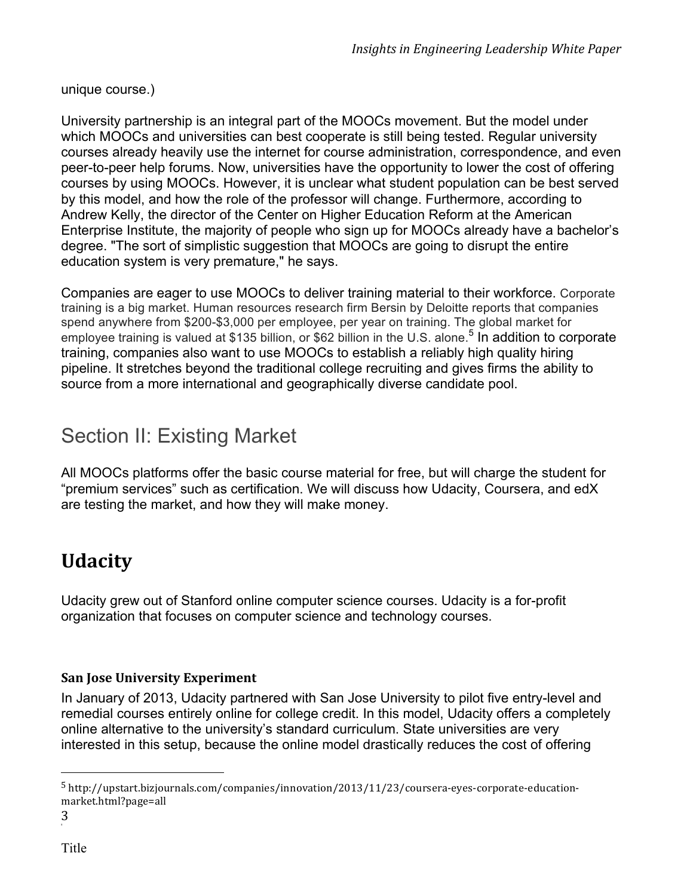unique course.)

University partnership is an integral part of the MOOCs movement. But the model under which MOOCs and universities can best cooperate is still being tested. Regular university courses already heavily use the internet for course administration, correspondence, and even peer-to-peer help forums. Now, universities have the opportunity to lower the cost of offering courses by using MOOCs. However, it is unclear what student population can be best served by this model, and how the role of the professor will change. Furthermore, according to Andrew Kelly, the director of the Center on Higher Education Reform at the American Enterprise Institute, the majority of people who sign up for MOOCs already have a bachelor's degree. "The sort of simplistic suggestion that MOOCs are going to disrupt the entire education system is very premature," he says.

Companies are eager to use MOOCs to deliver training material to their workforce. Corporate training is a big market. Human resources research firm Bersin by Deloitte reports that companies spend anywhere from \$200-\$3,000 per employee, per year on training. The global market for employee training is valued at \$135 billion, or \$62 billion in the U.S. alone.<sup>5</sup> In addition to corporate training, companies also want to use MOOCs to establish a reliably high quality hiring pipeline. It stretches beyond the traditional college recruiting and gives firms the ability to source from a more international and geographically diverse candidate pool.

# Section II: Existing Market

All MOOCs platforms offer the basic course material for free, but will charge the student for "premium services" such as certification. We will discuss how Udacity, Coursera, and edX are testing the market, and how they will make money.

# **Udacity**

Udacity grew out of Stanford online computer science courses. Udacity is a for-profit organization that focuses on computer science and technology courses.

### **San Jose University Experiment**

 

In January of 2013, Udacity partnered with San Jose University to pilot five entry-level and remedial courses entirely online for college credit. In this model, Udacity offers a completely online alternative to the university's standard curriculum. State universities are very interested in this setup, because the online model drastically reduces the cost of offering

<sup>5</sup> http://upstart.bizjournals.com/companies/innovation/2013/11/23/coursera-eyes-corporate-educationmarket.html?page=all

<sup>3</sup>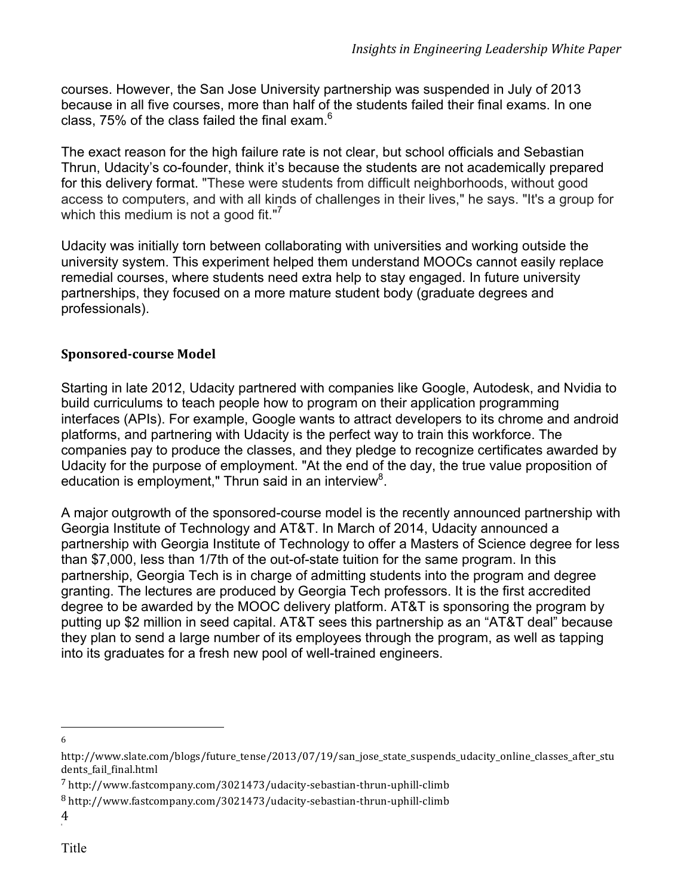courses. However, the San Jose University partnership was suspended in July of 2013 because in all five courses, more than half of the students failed their final exams. In one class, 75% of the class failed the final exam.<sup>6</sup>

The exact reason for the high failure rate is not clear, but school officials and Sebastian Thrun, Udacity's co-founder, think it's because the students are not academically prepared for this delivery format. "These were students from difficult neighborhoods, without good access to computers, and with all kinds of challenges in their lives," he says. "It's a group for which this medium is not a good fit."<sup>7</sup>

Udacity was initially torn between collaborating with universities and working outside the university system. This experiment helped them understand MOOCs cannot easily replace remedial courses, where students need extra help to stay engaged. In future university partnerships, they focused on a more mature student body (graduate degrees and professionals).

### **Sponsored-course Model**

Starting in late 2012, Udacity partnered with companies like Google, Autodesk, and Nvidia to build curriculums to teach people how to program on their application programming interfaces (APIs). For example, Google wants to attract developers to its chrome and android platforms, and partnering with Udacity is the perfect way to train this workforce. The companies pay to produce the classes, and they pledge to recognize certificates awarded by Udacity for the purpose of employment. "At the end of the day, the true value proposition of education is employment," Thrun said in an interview<sup>8</sup>.

A major outgrowth of the sponsored-course model is the recently announced partnership with Georgia Institute of Technology and AT&T. In March of 2014, Udacity announced a partnership with Georgia Institute of Technology to offer a Masters of Science degree for less than \$7,000, less than 1/7th of the out-of-state tuition for the same program. In this partnership, Georgia Tech is in charge of admitting students into the program and degree granting. The lectures are produced by Georgia Tech professors. It is the first accredited degree to be awarded by the MOOC delivery platform. AT&T is sponsoring the program by putting up \$2 million in seed capital. AT&T sees this partnership as an "AT&T deal" because they plan to send a large number of its employees through the program, as well as tapping into its graduates for a fresh new pool of well-trained engineers.

 6

http://www.slate.com/blogs/future\_tense/2013/07/19/san\_jose\_state\_suspends\_udacity\_online\_classes\_after\_stu dents fail final.html

<sup>7</sup> http://www.fastcompany.com/3021473/udacity-sebastian-thrun-uphill-climb

<sup>8</sup> http://www.fastcompany.com/3021473/udacity-sebastian-thrun-uphill-climb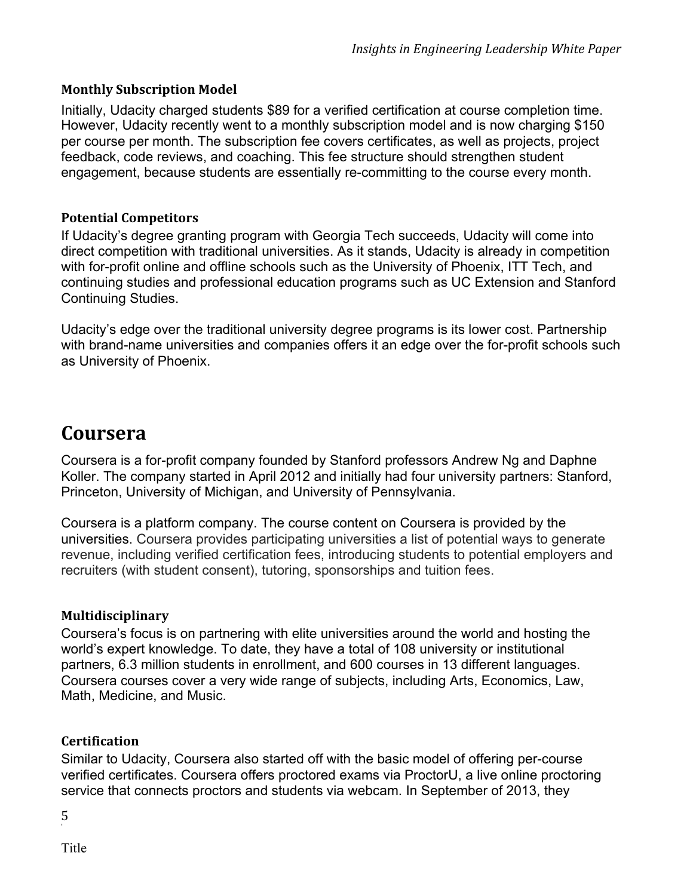#### **Monthly Subscription Model**

Initially, Udacity charged students \$89 for a verified certification at course completion time. However, Udacity recently went to a monthly subscription model and is now charging \$150 per course per month. The subscription fee covers certificates, as well as projects, project feedback, code reviews, and coaching. This fee structure should strengthen student engagement, because students are essentially re-committing to the course every month.

#### **Potential Competitors**

If Udacity's degree granting program with Georgia Tech succeeds, Udacity will come into direct competition with traditional universities. As it stands, Udacity is already in competition with for-profit online and offline schools such as the University of Phoenix, ITT Tech, and continuing studies and professional education programs such as UC Extension and Stanford Continuing Studies.

Udacity's edge over the traditional university degree programs is its lower cost. Partnership with brand-name universities and companies offers it an edge over the for-profit schools such as University of Phoenix.

### **Coursera**

Coursera is a for-profit company founded by Stanford professors Andrew Ng and Daphne Koller. The company started in April 2012 and initially had four university partners: Stanford, Princeton, University of Michigan, and University of Pennsylvania.

Coursera is a platform company. The course content on Coursera is provided by the universities. Coursera provides participating universities a list of potential ways to generate revenue, including verified certification fees, introducing students to potential employers and recruiters (with student consent), tutoring, sponsorships and tuition fees.

#### **Multidisciplinary**

Coursera's focus is on partnering with elite universities around the world and hosting the world's expert knowledge. To date, they have a total of 108 university or institutional partners, 6.3 million students in enrollment, and 600 courses in 13 different languages. Coursera courses cover a very wide range of subjects, including Arts, Economics, Law, Math, Medicine, and Music.

#### **Certification**

Similar to Udacity, Coursera also started off with the basic model of offering per-course verified certificates. Coursera offers proctored exams via ProctorU, a live online proctoring service that connects proctors and students via webcam. In September of 2013, they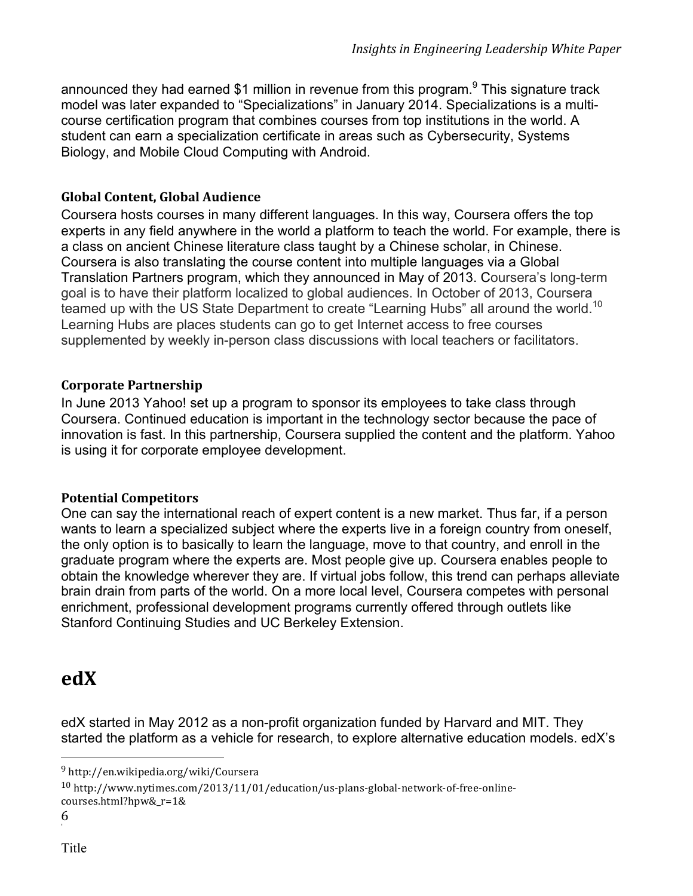announced they had earned \$1 million in revenue from this program.<sup>9</sup> This signature track model was later expanded to "Specializations" in January 2014. Specializations is a multicourse certification program that combines courses from top institutions in the world. A student can earn a specialization certificate in areas such as Cybersecurity, Systems Biology, and Mobile Cloud Computing with Android.

#### **Global Content, Global Audience**

Coursera hosts courses in many different languages. In this way, Coursera offers the top experts in any field anywhere in the world a platform to teach the world. For example, there is a class on ancient Chinese literature class taught by a Chinese scholar, in Chinese. Coursera is also translating the course content into multiple languages via a Global Translation Partners program, which they announced in May of 2013. Coursera's long-term goal is to have their platform localized to global audiences. In October of 2013, Coursera teamed up with the US State Department to create "Learning Hubs" all around the world.<sup>10</sup> Learning Hubs are places students can go to get Internet access to free courses supplemented by weekly in-person class discussions with local teachers or facilitators.

### **Corporate Partnership**

In June 2013 Yahoo! set up a program to sponsor its employees to take class through Coursera. Continued education is important in the technology sector because the pace of innovation is fast. In this partnership, Coursera supplied the content and the platform. Yahoo is using it for corporate employee development.

### **Potential Competitors**

One can say the international reach of expert content is a new market. Thus far, if a person wants to learn a specialized subject where the experts live in a foreign country from oneself, the only option is to basically to learn the language, move to that country, and enroll in the graduate program where the experts are. Most people give up. Coursera enables people to obtain the knowledge wherever they are. If virtual jobs follow, this trend can perhaps alleviate brain drain from parts of the world. On a more local level, Coursera competes with personal enrichment, professional development programs currently offered through outlets like Stanford Continuing Studies and UC Berkeley Extension.

### **edX**

edX started in May 2012 as a non-profit organization funded by Harvard and MIT. They started the platform as a vehicle for research, to explore alternative education models. edX's

 

<sup>9</sup> http://en.wikipedia.org/wiki/Coursera

<sup>10</sup> http://www.nytimes.com/2013/11/01/education/us-plans-global-network-of-free-onlinecourses.html?hpw&\_r=1&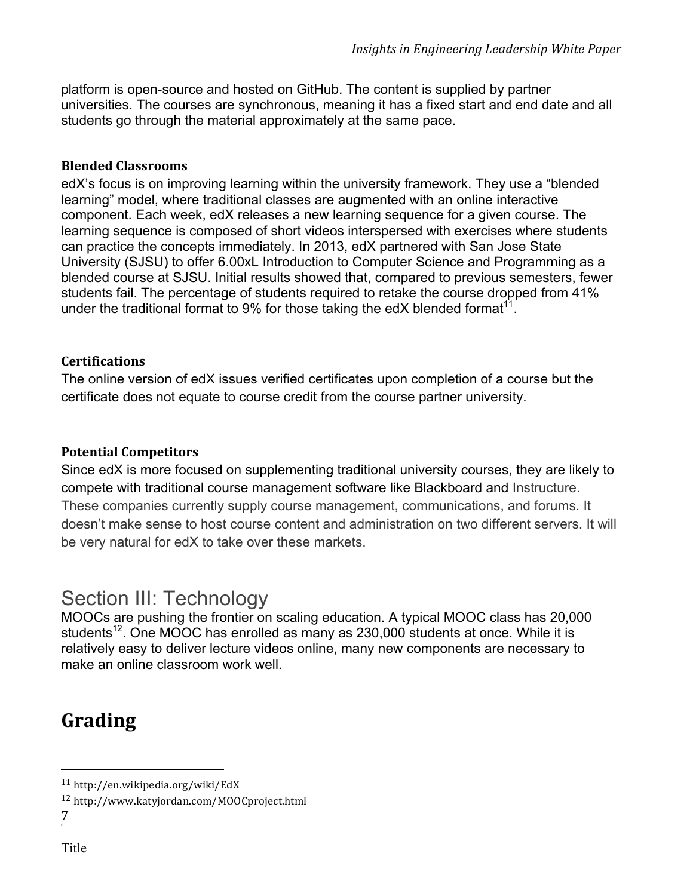platform is open-source and hosted on GitHub. The content is supplied by partner universities. The courses are synchronous, meaning it has a fixed start and end date and all students go through the material approximately at the same pace.

#### **Blended Classrooms**

edX's focus is on improving learning within the university framework. They use a "blended learning" model, where traditional classes are augmented with an online interactive component. Each week, edX releases a new learning sequence for a given course. The learning sequence is composed of short videos interspersed with exercises where students can practice the concepts immediately. In 2013, edX partnered with San Jose State University (SJSU) to offer 6.00xL Introduction to Computer Science and Programming as a blended course at SJSU. Initial results showed that, compared to previous semesters, fewer students fail. The percentage of students required to retake the course dropped from 41% under the traditional format to 9% for those taking the edX blended format<sup>11</sup>.

#### **Certifications**

The online version of edX issues verified certificates upon completion of a course but the certificate does not equate to course credit from the course partner university.

#### **Potential Competitors**

Since edX is more focused on supplementing traditional university courses, they are likely to compete with traditional course management software like Blackboard and Instructure. These companies currently supply course management, communications, and forums. It doesn't make sense to host course content and administration on two different servers. It will be very natural for edX to take over these markets.

### Section III: Technology

MOOCs are pushing the frontier on scaling education. A typical MOOC class has 20,000 students<sup>12</sup>. One MOOC has enrolled as many as 230,000 students at once. While it is relatively easy to deliver lecture videos online, many new components are necessary to make an online classroom work well.

### **Grading**

 <sup>11</sup> http://en.wikipedia.org/wiki/EdX

<sup>12</sup> http://www.katyjordan.com/MOOCproject.html

<sup>7</sup>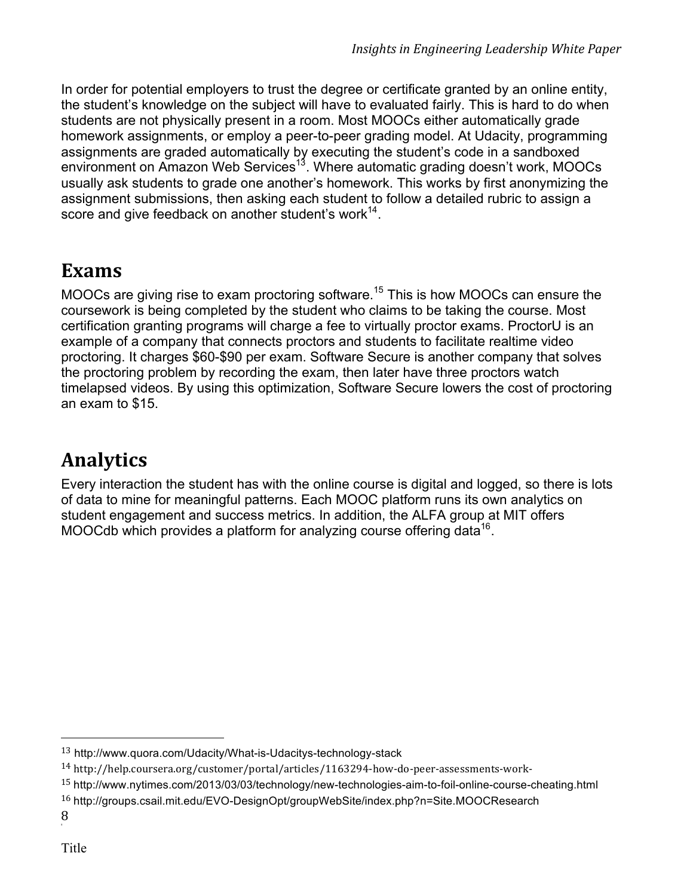In order for potential employers to trust the degree or certificate granted by an online entity, the student's knowledge on the subject will have to evaluated fairly. This is hard to do when students are not physically present in a room. Most MOOCs either automatically grade homework assignments, or employ a peer-to-peer grading model. At Udacity, programming assignments are graded automatically by executing the student's code in a sandboxed environment on Amazon Web Services<sup>13</sup>. Where automatic grading doesn't work, MOOCs usually ask students to grade one another's homework. This works by first anonymizing the assignment submissions, then asking each student to follow a detailed rubric to assign a score and give feedback on another student's work $^{14}$ .

### **Exams**

MOOCs are giving rise to exam proctoring software.<sup>15</sup> This is how MOOCs can ensure the coursework is being completed by the student who claims to be taking the course. Most certification granting programs will charge a fee to virtually proctor exams. ProctorU is an example of a company that connects proctors and students to facilitate realtime video proctoring. It charges \$60-\$90 per exam. Software Secure is another company that solves the proctoring problem by recording the exam, then later have three proctors watch timelapsed videos. By using this optimization, Software Secure lowers the cost of proctoring an exam to \$15.

# **Analytics**

Every interaction the student has with the online course is digital and logged, so there is lots of data to mine for meaningful patterns. Each MOOC platform runs its own analytics on student engagement and success metrics. In addition, the ALFA group at MIT offers MOOCdb which provides a platform for analyzing course offering data<sup>16</sup>.

<sup>13</sup> http://www.quora.com/Udacity/What-is-Udacitys-technology-stack

<sup>14</sup> http://help.coursera.org/customer/portal/articles/1163294-how-do-peer-assessments-work-

<sup>15</sup> http://www.nytimes.com/2013/03/03/technology/new-technologies-aim-to-foil-online-course-cheating.html

<sup>16</sup> http://groups.csail.mit.edu/EVO-DesignOpt/groupWebSite/index.php?n=Site.MOOCResearch

<sup>8</sup>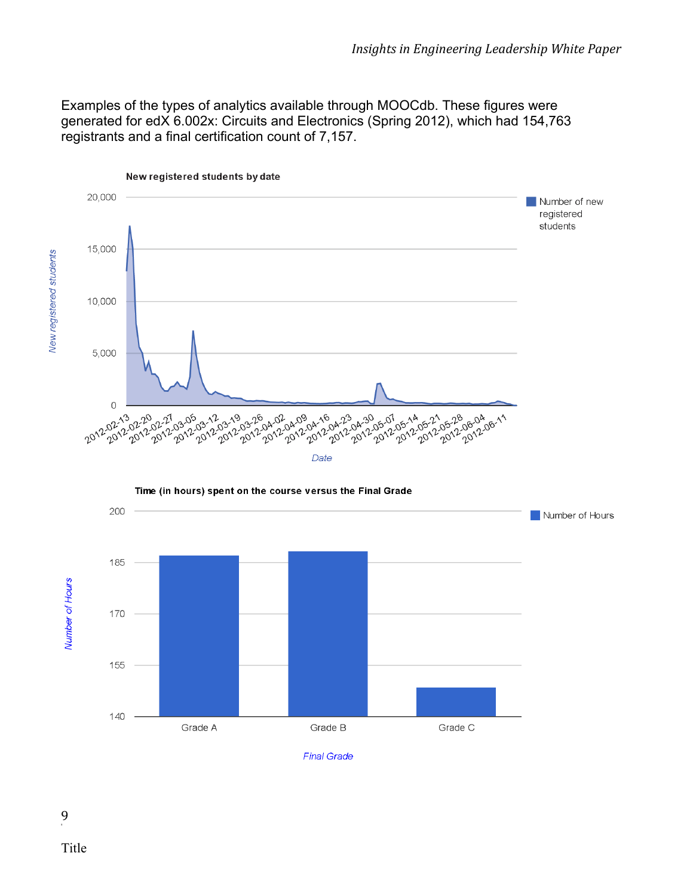Examples of the types of analytics available through MOOCdb. These figures were generated for edX 6.002x: Circuits and Electronics (Spring 2012), which had 154,763 registrants and a final certification count of 7,157.

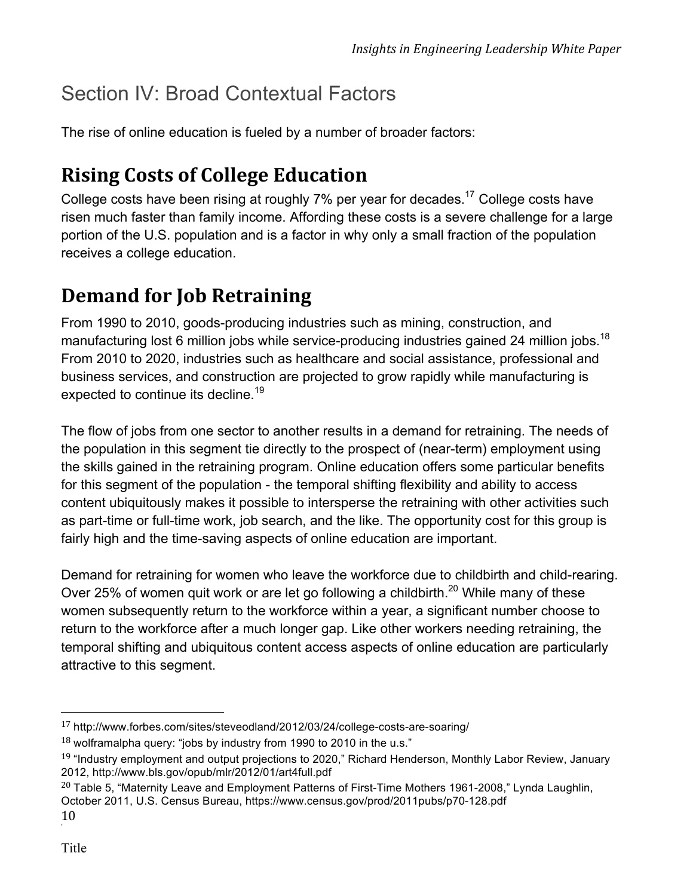# Section IV: Broad Contextual Factors

The rise of online education is fueled by a number of broader factors:

# **Rising Costs of College Education**

College costs have been rising at roughly 7% per year for decades.<sup>17</sup> College costs have risen much faster than family income. Affording these costs is a severe challenge for a large portion of the U.S. population and is a factor in why only a small fraction of the population receives a college education.

# **Demand for Job Retraining**

From 1990 to 2010, goods-producing industries such as mining, construction, and manufacturing lost 6 million jobs while service-producing industries gained 24 million jobs.<sup>18</sup> From 2010 to 2020, industries such as healthcare and social assistance, professional and business services, and construction are projected to grow rapidly while manufacturing is expected to continue its decline.<sup>19</sup>

The flow of jobs from one sector to another results in a demand for retraining. The needs of the population in this segment tie directly to the prospect of (near-term) employment using the skills gained in the retraining program. Online education offers some particular benefits for this segment of the population - the temporal shifting flexibility and ability to access content ubiquitously makes it possible to intersperse the retraining with other activities such as part-time or full-time work, job search, and the like. The opportunity cost for this group is fairly high and the time-saving aspects of online education are important.

Demand for retraining for women who leave the workforce due to childbirth and child-rearing. Over 25% of women quit work or are let go following a childbirth.<sup>20</sup> While many of these women subsequently return to the workforce within a year, a significant number choose to return to the workforce after a much longer gap. Like other workers needing retraining, the temporal shifting and ubiquitous content access aspects of online education are particularly attractive to this segment.

<sup>17</sup> http://www.forbes.com/sites/steveodland/2012/03/24/college-costs-are-soaring/

 $18$  wolframalpha query: "jobs by industry from 1990 to 2010 in the u.s."

 $19$  "Industry employment and output projections to 2020," Richard Henderson, Monthly Labor Review, January 2012, http://www.bls.gov/opub/mlr/2012/01/art4full.pdf

<sup>&</sup>lt;sup>20</sup> Table 5, "Maternity Leave and Employment Patterns of First-Time Mothers 1961-2008," Lynda Laughlin, October 2011, U.S. Census Bureau, https://www.census.gov/prod/2011pubs/p70-128.pdf

<sup>10</sup>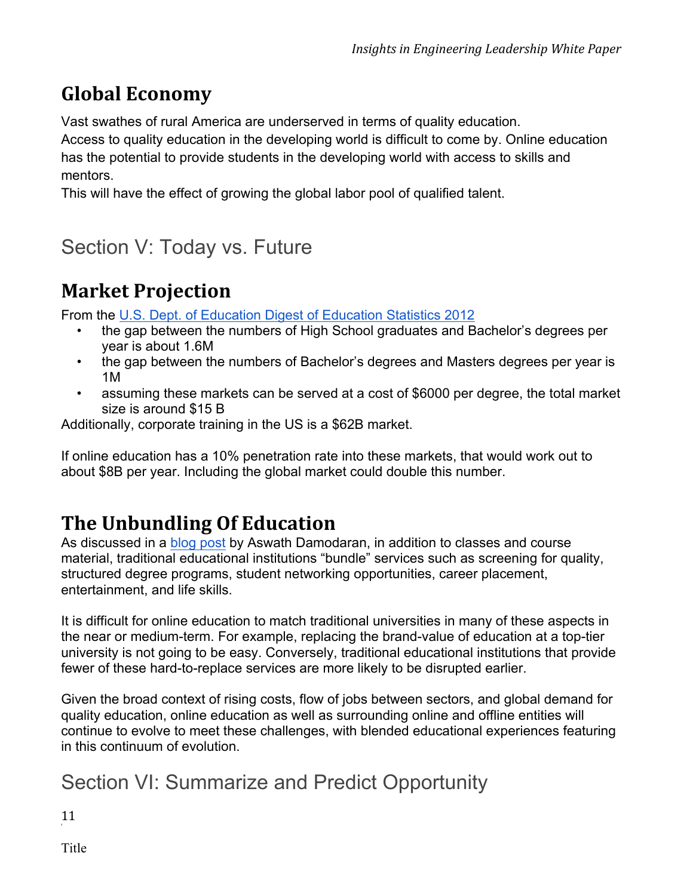# **Global Economy**

Vast swathes of rural America are underserved in terms of quality education.

Access to quality education in the developing world is difficult to come by. Online education has the potential to provide students in the developing world with access to skills and mentors.

This will have the effect of growing the global labor pool of qualified talent.

# Section V: Today vs. Future

### **Market Projection**

From the U.S. Dept. of Education Digest of Education Statistics 2012

- the gap between the numbers of High School graduates and Bachelor's degrees per year is about 1.6M
- the gap between the numbers of Bachelor's degrees and Masters degrees per year is 1M
- assuming these markets can be served at a cost of \$6000 per degree, the total market size is around \$15 B

Additionally, corporate training in the US is a \$62B market.

If online education has a 10% penetration rate into these markets, that would work out to about \$8B per year. Including the global market could double this number.

# **The Unbundling Of Education**

As discussed in a blog post by Aswath Damodaran, in addition to classes and course material, traditional educational institutions "bundle" services such as screening for quality, structured degree programs, student networking opportunities, career placement, entertainment, and life skills.

It is difficult for online education to match traditional universities in many of these aspects in the near or medium-term. For example, replacing the brand-value of education at a top-tier university is not going to be easy. Conversely, traditional educational institutions that provide fewer of these hard-to-replace services are more likely to be disrupted earlier.

Given the broad context of rising costs, flow of jobs between sectors, and global demand for quality education, online education as well as surrounding online and offline entities will continue to evolve to meet these challenges, with blended educational experiences featuring in this continuum of evolution.

# Section VI: Summarize and Predict Opportunity

11

Title